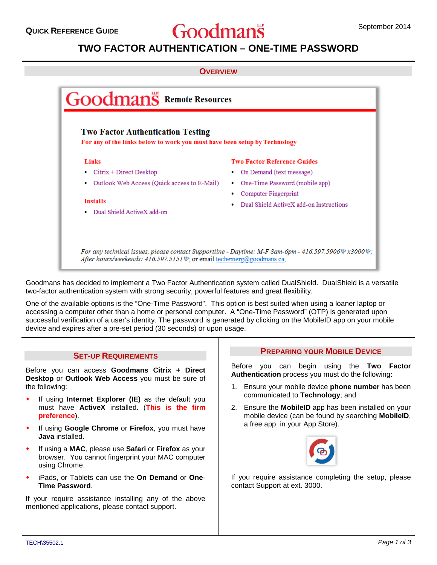# **QUICK REFERENCE GUIDE September 2014** September 2014

# **TWO FACTOR AUTHENTICATION – ONE-TIME PASSWORD**

#### **OVERVIEW**



Goodmans has decided to implement a Two Factor Authentication system called DualShield. DualShield is a versatile two-factor authentication system with strong security, powerful features and great flexibility.

One of the available options is the "One-Time Password". This option is best suited when using a loaner laptop or accessing a computer other than a home or personal computer. A "One-Time Password" (OTP) is generated upon successful verification of a user's identity. The password is generated by clicking on the MobileID app on your mobile device and expires after a pre-set period (30 seconds) or upon usage.

#### **SET-UP REQUIREMENTS**

Before you can access **Goodmans Citrix + Direct Desktop** or **Outlook Web Access** you must be sure of the following:

- If using **Internet Explorer (IE)** as the default you must have **ActiveX** installed. (**This is the firm preference**).
- If using **Google Chrome** or **Firefox**, you must have **Java** installed.
- If using a **MAC**, please use **Safari** or **Firefox** as your browser. You cannot fingerprint your MAC computer using Chrome.
- iPads, or Tablets can use the **On Demand** or **One**-**Time Password**.

If your require assistance installing any of the above mentioned applications, please contact support.

## **PREPARING YOUR MOBILE DEVICE**

Before you can begin using the **Two Factor Authentication** process you must do the following:

- 1. Ensure your mobile device **phone number** has been communicated to **Technology**; and
- 2. Ensure the **MobileID** app has been installed on your mobile device (can be found by searching **MobileID**, a free app, in your App Store).



If you require assistance completing the setup, please contact Support at ext. 3000.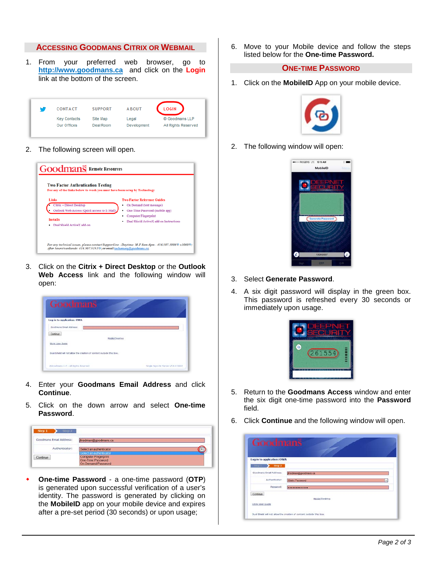## **ACCESSING GOODMANS CITRIX OR WEBMAIL**

1. From your preferred web browser, go to **http://www.goodmans.ca** and click on the **Login** link at the bottom of the screen.

| w | CONTACT             | <b>SUPPORT</b> | <b>ABOUT</b> | <b>LOGIN</b>        |  |  |
|---|---------------------|----------------|--------------|---------------------|--|--|
|   | <b>Key Contacts</b> | Site Map       | Legal        | © Goodmans LLP      |  |  |
|   | Our Offices         | Deal Room      | Development  | All Rights Reserved |  |  |

2. The following screen will open.



3. Click on the **Citrix + Direct Desktop** or the **Outlook Web Access** link and the following window will open:

| Log in to application: OWA                                            |  |
|-----------------------------------------------------------------------|--|
| Goodmans Email Address:                                               |  |
| Continue                                                              |  |
| <b>Nobilc Desktop</b>                                                 |  |
| <b>Citrix User Guide</b>                                              |  |
| Dual Shield will not allow the creation of content outside this box." |  |

- 4. Enter your **Goodmans Email Address** and click **Continue**.
- 5. Click on the down arrow and select **One-time Password**.

| Step 2<br>Step 1                                                        |                                                                        |  |
|-------------------------------------------------------------------------|------------------------------------------------------------------------|--|
| Goodmans Email Address:<br>100 부터 2010년 1월 2일 : 2010년 1월 2일 2010년 1월 2일 | friedman@goodmans.ca                                                   |  |
| Authenticator:                                                          | Select an authenticator<br>Select an authenticator                     |  |
| Continue                                                                | <b>Computer Fingerprint</b><br>One-Time Password<br>On-Demand Password |  |

 **One-time Password** - a one-time password (**OTP**) is generated upon successful verification of a user's identity. The password is generated by clicking on the **MobileID** app on your mobile device and expires after a pre-set period (30 seconds) or upon usage;

6. Move to your Mobile device and follow the steps listed below for the **One-time Password.**

#### **ONE-TIME PASSWORD**

1. Click on the **MobileID** App on your mobile device.



2. The following window will open:



- 3. Select **Generate Password**.
- 4. A six digit password will display in the green box. This password is refreshed every 30 seconds or immediately upon usage.



- 5. Return to the **Goodmans Access** window and enter the six digit one-time password into the **Password** field.
- 6. Click **Continue** and the following window will open.

| Goodmans                                   |                                                                      |
|--------------------------------------------|----------------------------------------------------------------------|
| Log in to application: OWA                 |                                                                      |
| Step 2<br>Mag 1<br>Goodmans Email Address: | friedman@goodmans.ca                                                 |
| Authenticator:                             | Static Password<br>٠                                                 |
| Password:                                  | *************                                                        |
| Continue<br>Citrix User Quide              | Mobile Desktop                                                       |
|                                            | Dual Shield will not allow the creation of content outside this box. |